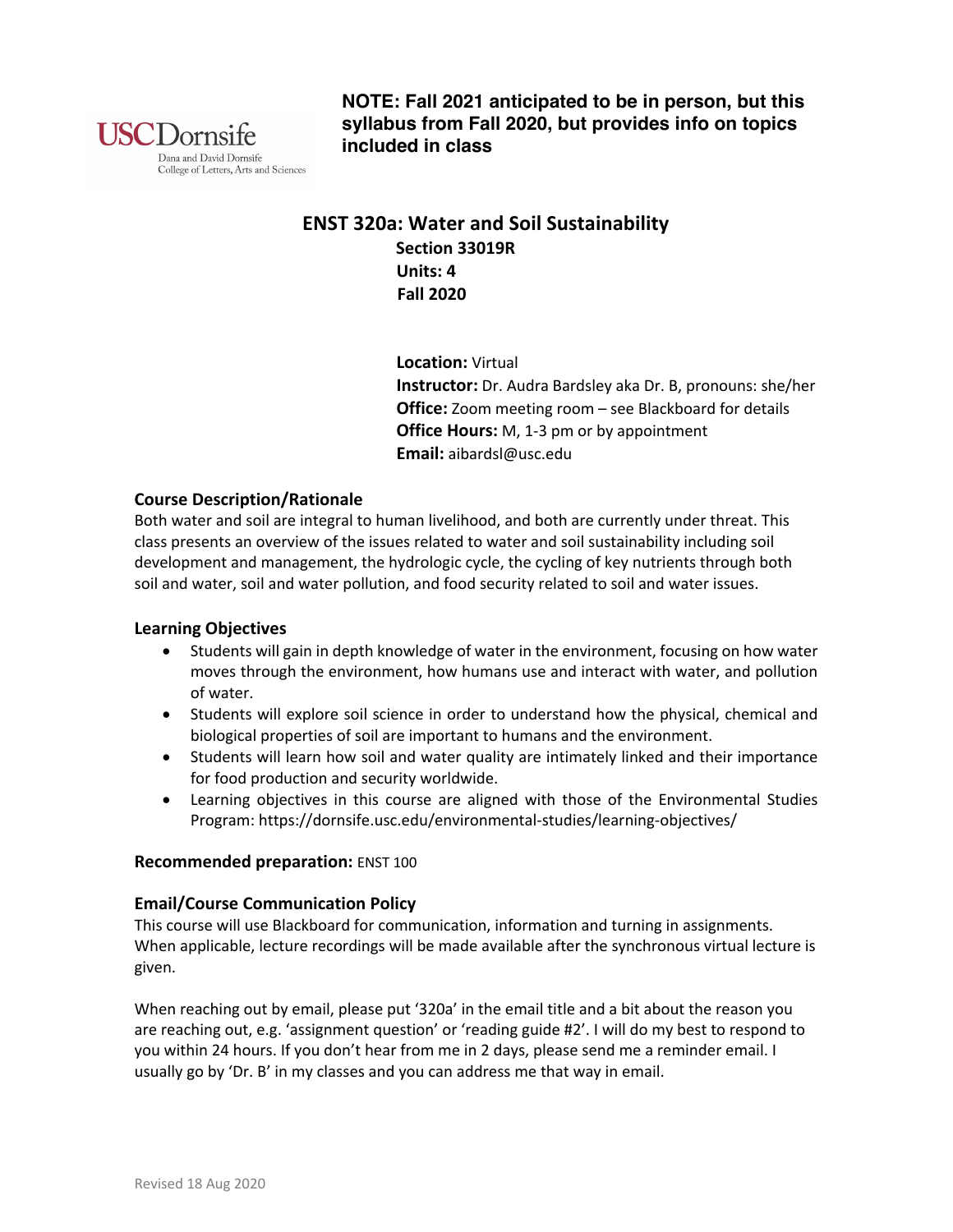

**NOTE: Fall 2021 anticipated to be in person, but this syllabus from Fall 2020, but provides info on topics included in class**

# **ENST 320a: Water and Soil Sustainability Section 33019R Units: 4 Fall 2020**

 **Location:** Virtual  **Instructor:** Dr. Audra Bardsley aka Dr. B, pronouns: she/her  **Office:** Zoom meeting room – see Blackboard for details  **Office Hours:** M, 1-3 pm or by appointment  **Email:** aibardsl@usc.edu

# **Course Description/Rationale**

Both water and soil are integral to human livelihood, and both are currently under threat. This class presents an overview of the issues related to water and soil sustainability including soil development and management, the hydrologic cycle, the cycling of key nutrients through both soil and water, soil and water pollution, and food security related to soil and water issues.

# **Learning Objectives**

- Students will gain in depth knowledge of water in the environment, focusing on how water moves through the environment, how humans use and interact with water, and pollution of water.
- Students will explore soil science in order to understand how the physical, chemical and biological properties of soil are important to humans and the environment.
- Students will learn how soil and water quality are intimately linked and their importance for food production and security worldwide.
- Learning objectives in this course are aligned with those of the Environmental Studies Program: https://dornsife.usc.edu/environmental-studies/learning-objectives/

# **Recommended preparation:** ENST 100

# **Email/Course Communication Policy**

This course will use Blackboard for communication, information and turning in assignments. When applicable, lecture recordings will be made available after the synchronous virtual lecture is given.

When reaching out by email, please put '320a' in the email title and a bit about the reason you are reaching out, e.g. 'assignment question' or 'reading guide #2'. I will do my best to respond to you within 24 hours. If you don't hear from me in 2 days, please send me a reminder email. I usually go by 'Dr. B' in my classes and you can address me that way in email.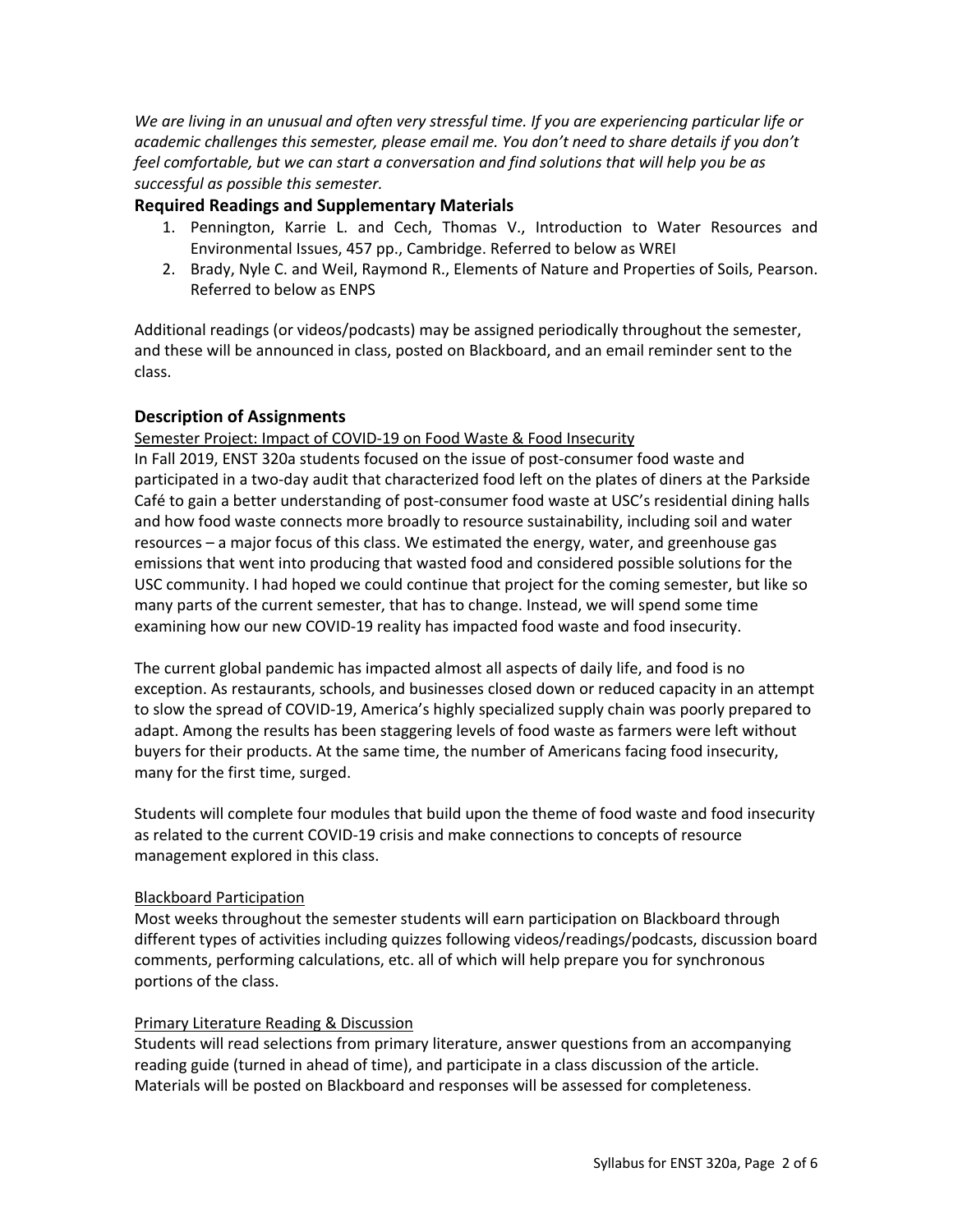*We are living in an unusual and often very stressful time. If you are experiencing particular life or academic challenges this semester, please email me. You don't need to share details if you don't feel comfortable, but we can start a conversation and find solutions that will help you be as successful as possible this semester.* 

# **Required Readings and Supplementary Materials**

- 1. Pennington, Karrie L. and Cech, Thomas V., Introduction to Water Resources and Environmental Issues, 457 pp., Cambridge. Referred to below as WREI
- 2. Brady, Nyle C. and Weil, Raymond R., Elements of Nature and Properties of Soils, Pearson. Referred to below as ENPS

Additional readings (or videos/podcasts) may be assigned periodically throughout the semester, and these will be announced in class, posted on Blackboard, and an email reminder sent to the class.

# **Description of Assignments**

Semester Project: Impact of COVID-19 on Food Waste & Food Insecurity

In Fall 2019, ENST 320a students focused on the issue of post-consumer food waste and participated in a two-day audit that characterized food left on the plates of diners at the Parkside Café to gain a better understanding of post-consumer food waste at USC's residential dining halls and how food waste connects more broadly to resource sustainability, including soil and water resources – a major focus of this class. We estimated the energy, water, and greenhouse gas emissions that went into producing that wasted food and considered possible solutions for the USC community. I had hoped we could continue that project for the coming semester, but like so many parts of the current semester, that has to change. Instead, we will spend some time examining how our new COVID-19 reality has impacted food waste and food insecurity.

The current global pandemic has impacted almost all aspects of daily life, and food is no exception. As restaurants, schools, and businesses closed down or reduced capacity in an attempt to slow the spread of COVID-19, America's highly specialized supply chain was poorly prepared to adapt. Among the results has been staggering levels of food waste as farmers were left without buyers for their products. At the same time, the number of Americans facing food insecurity, many for the first time, surged.

Students will complete four modules that build upon the theme of food waste and food insecurity as related to the current COVID-19 crisis and make connections to concepts of resource management explored in this class.

# Blackboard Participation

Most weeks throughout the semester students will earn participation on Blackboard through different types of activities including quizzes following videos/readings/podcasts, discussion board comments, performing calculations, etc. all of which will help prepare you for synchronous portions of the class.

## Primary Literature Reading & Discussion

Students will read selections from primary literature, answer questions from an accompanying reading guide (turned in ahead of time), and participate in a class discussion of the article. Materials will be posted on Blackboard and responses will be assessed for completeness.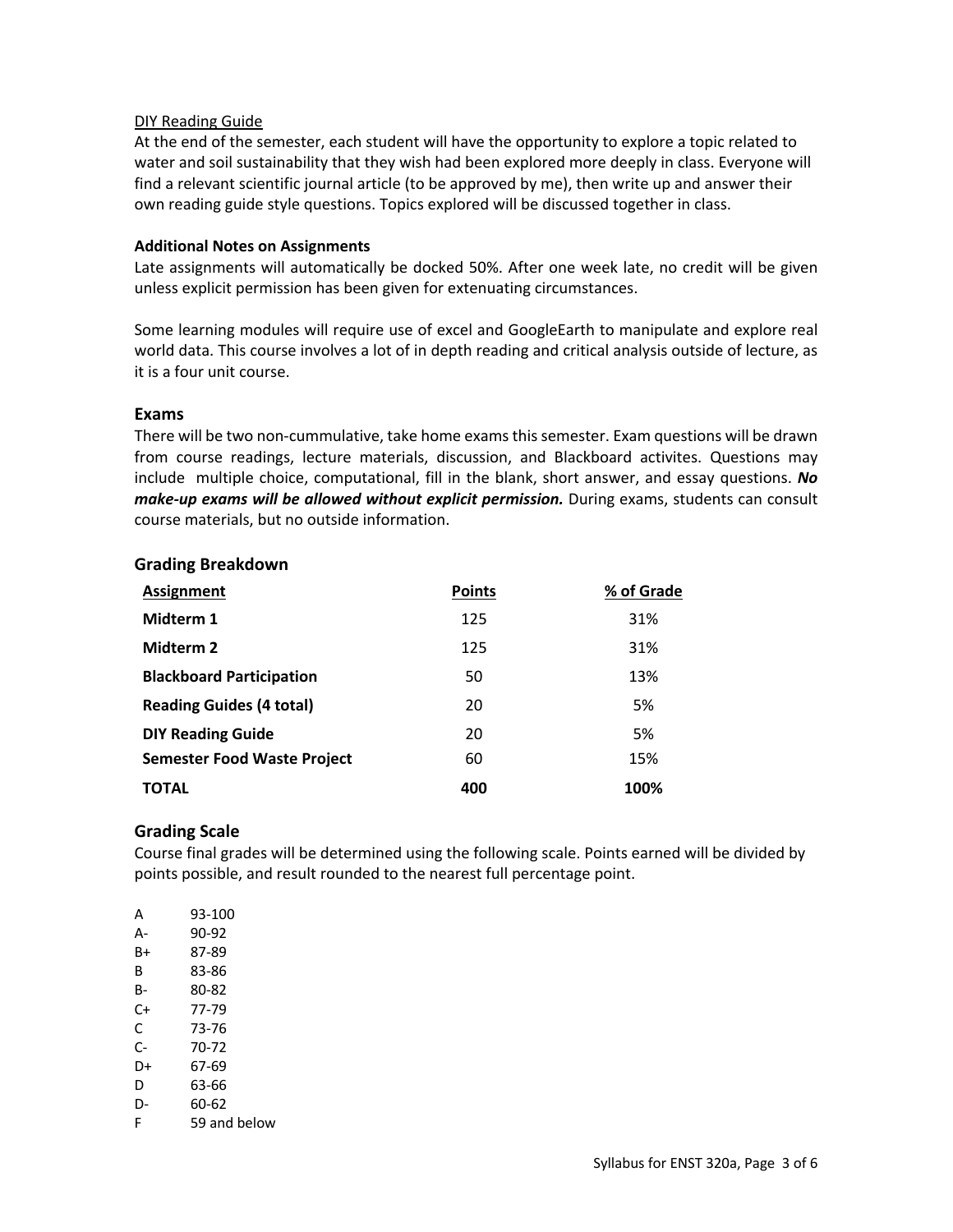## DIY Reading Guide

At the end of the semester, each student will have the opportunity to explore a topic related to water and soil sustainability that they wish had been explored more deeply in class. Everyone will find a relevant scientific journal article (to be approved by me), then write up and answer their own reading guide style questions. Topics explored will be discussed together in class.

## **Additional Notes on Assignments**

Late assignments will automatically be docked 50%. After one week late, no credit will be given unless explicit permission has been given for extenuating circumstances.

Some learning modules will require use of excel and GoogleEarth to manipulate and explore real world data. This course involves a lot of in depth reading and critical analysis outside of lecture, as it is a four unit course.

## **Exams**

There will be two non-cummulative, take home exams this semester. Exam questions will be drawn from course readings, lecture materials, discussion, and Blackboard activites. Questions may include multiple choice, computational, fill in the blank, short answer, and essay questions. *No make-up exams will be allowed without explicit permission.* During exams, students can consult course materials, but no outside information.

## **Grading Breakdown**

| <b>Assignment</b>                  | <b>Points</b> | % of Grade |
|------------------------------------|---------------|------------|
| Midterm 1                          | 125           | 31%        |
| Midterm 2                          | 125           | 31%        |
| <b>Blackboard Participation</b>    | 50            | 13%        |
| <b>Reading Guides (4 total)</b>    | 20            | 5%         |
| <b>DIY Reading Guide</b>           | 20            | 5%         |
| <b>Semester Food Waste Project</b> | 60            | 15%        |
| TOTAL                              | 400           | 100%       |

# **Grading Scale**

Course final grades will be determined using the following scale. Points earned will be divided by points possible, and result rounded to the nearest full percentage point.

| А  | 93-100       |
|----|--------------|
| А- | 90-92        |
| B+ | 87-89        |
| в  | 83-86        |
| в- | 80-82        |
| C+ | 77-79        |
| C  | 73-76        |
| C- | 70-72        |
| D+ | 67-69        |
| D  | 63-66        |
| D- | 60-62        |
| F  | 59 and below |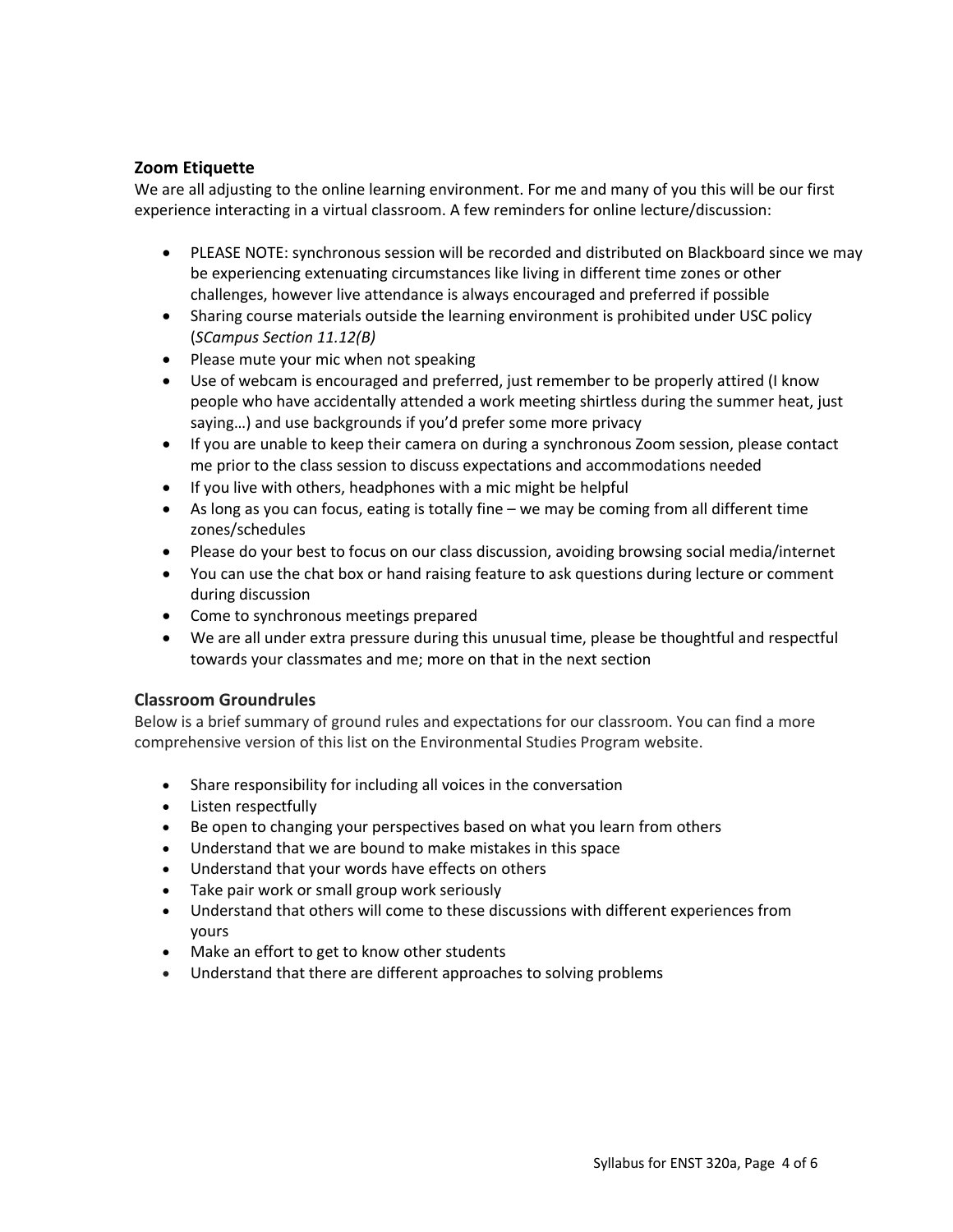# **Zoom Etiquette**

We are all adjusting to the online learning environment. For me and many of you this will be our first experience interacting in a virtual classroom. A few reminders for online lecture/discussion:

- PLEASE NOTE: synchronous session will be recorded and distributed on Blackboard since we may be experiencing extenuating circumstances like living in different time zones or other challenges, however live attendance is always encouraged and preferred if possible
- Sharing course materials outside the learning environment is prohibited under USC policy (*SCampus Section 11.12(B)*
- Please mute your mic when not speaking
- Use of webcam is encouraged and preferred, just remember to be properly attired (I know people who have accidentally attended a work meeting shirtless during the summer heat, just saying…) and use backgrounds if you'd prefer some more privacy
- If you are unable to keep their camera on during a synchronous Zoom session, please contact me prior to the class session to discuss expectations and accommodations needed
- If you live with others, headphones with a mic might be helpful
- As long as you can focus, eating is totally fine we may be coming from all different time zones/schedules
- Please do your best to focus on our class discussion, avoiding browsing social media/internet
- You can use the chat box or hand raising feature to ask questions during lecture or comment during discussion
- Come to synchronous meetings prepared
- We are all under extra pressure during this unusual time, please be thoughtful and respectful towards your classmates and me; more on that in the next section

# **Classroom Groundrules**

Below is a brief summary of ground rules and expectations for our classroom. You can find a more comprehensive version of this list on the Environmental Studies Program website.

- Share responsibility for including all voices in the conversation
- Listen respectfully
- Be open to changing your perspectives based on what you learn from others
- Understand that we are bound to make mistakes in this space
- Understand that your words have effects on others
- Take pair work or small group work seriously
- Understand that others will come to these discussions with different experiences from yours
- Make an effort to get to know other students
- Understand that there are different approaches to solving problems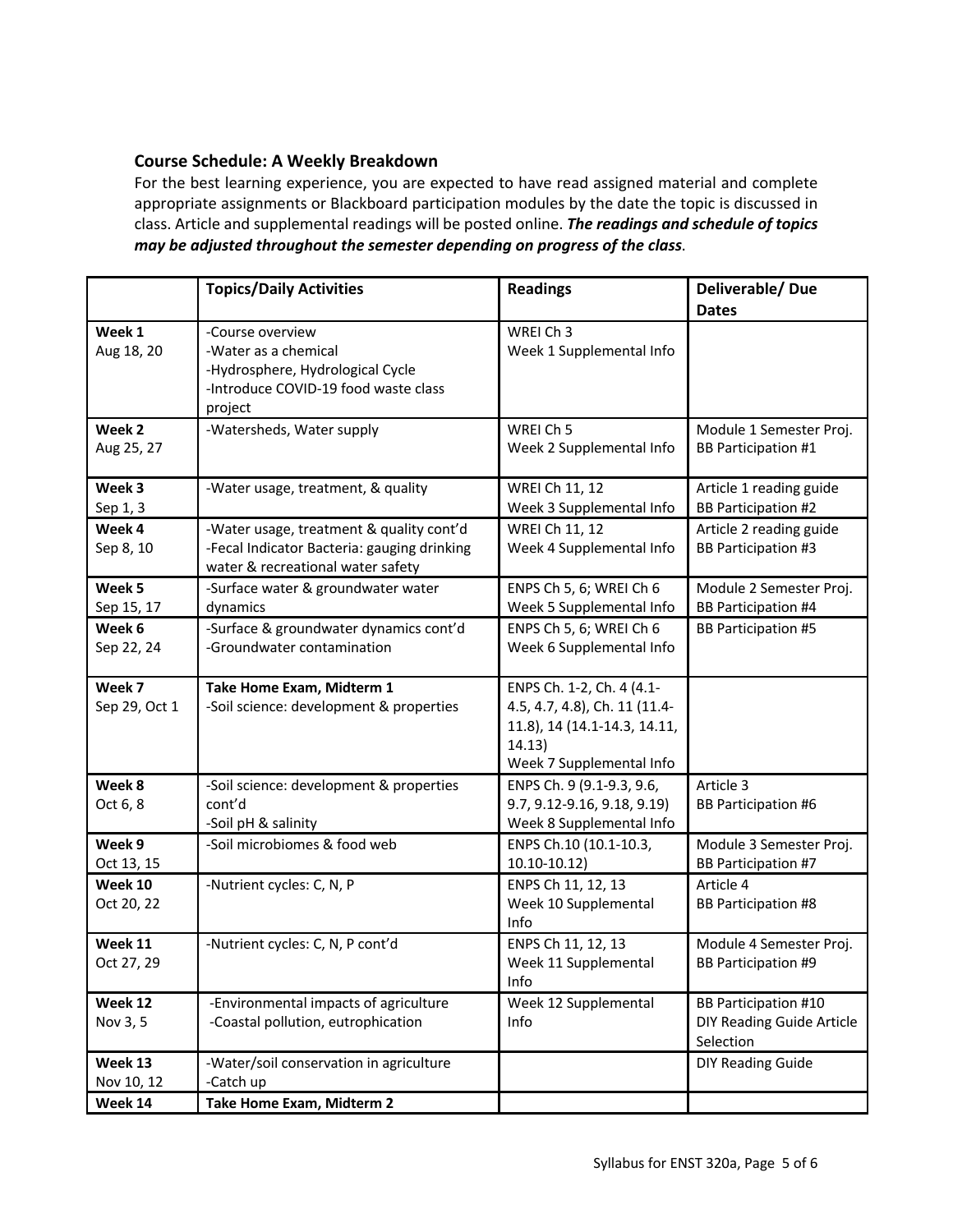## **Course Schedule: A Weekly Breakdown**

For the best learning experience, you are expected to have read assigned material and complete appropriate assignments or Blackboard participation modules by the date the topic is discussed in class. Article and supplemental readings will be posted online. *The readings and schedule of topics may be adjusted throughout the semester depending on progress of the class*.

|                                  | <b>Topics/Daily Activities</b>                                                                                                  | <b>Readings</b>                                                                                                                  | Deliverable/Due<br><b>Dates</b>                                       |
|----------------------------------|---------------------------------------------------------------------------------------------------------------------------------|----------------------------------------------------------------------------------------------------------------------------------|-----------------------------------------------------------------------|
| Week 1<br>Aug 18, 20             | -Course overview<br>-Water as a chemical<br>-Hydrosphere, Hydrological Cycle<br>-Introduce COVID-19 food waste class<br>project | WREI Ch 3<br>Week 1 Supplemental Info                                                                                            |                                                                       |
| Week 2<br>Aug 25, 27             | -Watersheds, Water supply                                                                                                       | WREI Ch 5<br>Week 2 Supplemental Info                                                                                            | Module 1 Semester Proj.<br><b>BB Participation #1</b>                 |
| Week 3<br>Sep 1, 3               | -Water usage, treatment, & quality                                                                                              | WREI Ch 11, 12<br>Week 3 Supplemental Info                                                                                       | Article 1 reading guide<br><b>BB Participation #2</b>                 |
| Week 4<br>Sep 8, 10              | -Water usage, treatment & quality cont'd<br>-Fecal Indicator Bacteria: gauging drinking<br>water & recreational water safety    | WREI Ch 11, 12<br>Week 4 Supplemental Info                                                                                       | Article 2 reading guide<br><b>BB Participation #3</b>                 |
| Week 5<br>Sep 15, 17             | -Surface water & groundwater water<br>dynamics                                                                                  | ENPS Ch 5, 6; WREI Ch 6<br>Week 5 Supplemental Info                                                                              | Module 2 Semester Proj.<br><b>BB Participation #4</b>                 |
| Week 6<br>Sep 22, 24             | -Surface & groundwater dynamics cont'd<br>-Groundwater contamination                                                            | ENPS Ch 5, 6; WREI Ch 6<br>Week 6 Supplemental Info                                                                              | <b>BB Participation #5</b>                                            |
| Week 7<br>Sep 29, Oct 1          | Take Home Exam, Midterm 1<br>-Soil science: development & properties                                                            | ENPS Ch. 1-2, Ch. 4 (4.1-<br>4.5, 4.7, 4.8), Ch. 11 (11.4-<br>11.8), 14 (14.1-14.3, 14.11,<br>14.13)<br>Week 7 Supplemental Info |                                                                       |
| Week 8<br>Oct 6, 8               | -Soil science: development & properties<br>cont'd<br>-Soil pH & salinity                                                        | ENPS Ch. 9 (9.1-9.3, 9.6,<br>9.7, 9.12-9.16, 9.18, 9.19)<br>Week 8 Supplemental Info                                             | Article 3<br><b>BB Participation #6</b>                               |
| Week 9<br>Oct 13, 15             | -Soil microbiomes & food web                                                                                                    | ENPS Ch.10 (10.1-10.3,<br>10.10-10.12)                                                                                           | Module 3 Semester Proj.<br><b>BB Participation #7</b>                 |
| Week 10<br>Oct 20, 22            | -Nutrient cycles: C, N, P                                                                                                       | ENPS Ch 11, 12, 13<br>Week 10 Supplemental<br>Info                                                                               | Article 4<br><b>BB Participation #8</b>                               |
| Week 11<br>Oct 27, 29            | -Nutrient cycles: C, N, P cont'd                                                                                                | ENPS Ch 11, 12, 13<br>Week 11 Supplemental<br>Info                                                                               | Module 4 Semester Proj.<br><b>BB Participation #9</b>                 |
| Week 12<br>Nov 3, 5              | -Environmental impacts of agriculture<br>-Coastal pollution, eutrophication                                                     | Week 12 Supplemental<br>Info                                                                                                     | <b>BB Participation #10</b><br>DIY Reading Guide Article<br>Selection |
| Week 13<br>Nov 10, 12<br>Week 14 | -Water/soil conservation in agriculture<br>-Catch up<br>Take Home Exam, Midterm 2                                               |                                                                                                                                  | <b>DIY Reading Guide</b>                                              |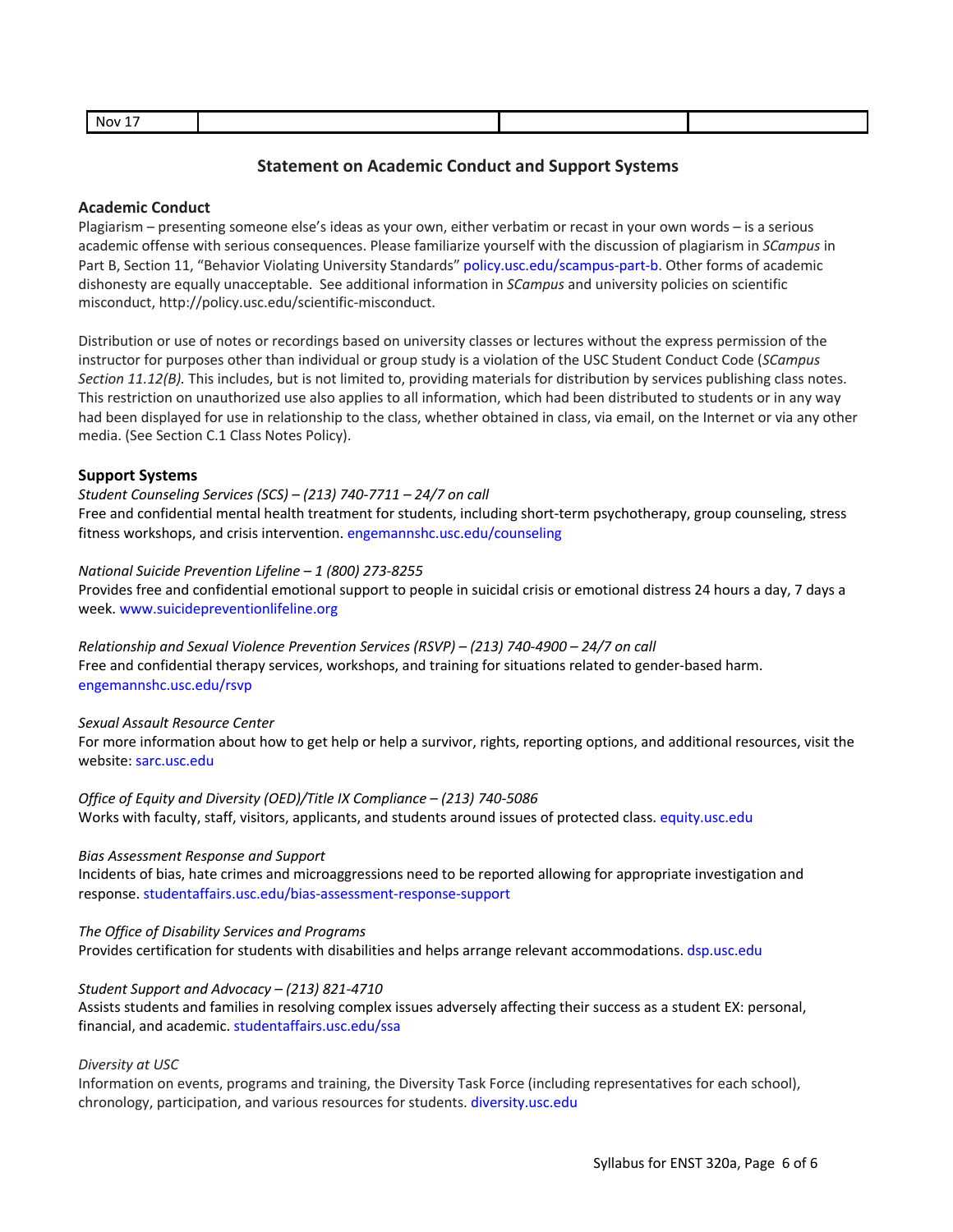| Nov. |  |  |
|------|--|--|
|      |  |  |

## **Statement on Academic Conduct and Support Systems**

### **Academic Conduct**

Plagiarism – presenting someone else's ideas as your own, either verbatim or recast in your own words – is a serious academic offense with serious consequences. Please familiarize yourself with the discussion of plagiarism in *SCampus* in Part B, Section 11, "Behavior Violating University Standards" policy.usc.edu/scampus-part-b. Other forms of academic dishonesty are equally unacceptable. See additional information in *SCampus* and university policies on scientific misconduct, http://policy.usc.edu/scientific-misconduct.

Distribution or use of notes or recordings based on university classes or lectures without the express permission of the instructor for purposes other than individual or group study is a violation of the USC Student Conduct Code (*SCampus Section 11.12(B).* This includes, but is not limited to, providing materials for distribution by services publishing class notes. This restriction on unauthorized use also applies to all information, which had been distributed to students or in any way had been displayed for use in relationship to the class, whether obtained in class, via email, on the Internet or via any other media. (See Section C.1 Class Notes Policy).

## **Support Systems**

*Student Counseling Services (SCS) – (213) 740-7711 – 24/7 on call*

Free and confidential mental health treatment for students, including short-term psychotherapy, group counseling, stress fitness workshops, and crisis intervention. engemannshc.usc.edu/counseling

## *National Suicide Prevention Lifeline – 1 (800) 273-8255*

Provides free and confidential emotional support to people in suicidal crisis or emotional distress 24 hours a day, 7 days a week. www.suicidepreventionlifeline.org

*Relationship and Sexual Violence Prevention Services (RSVP) – (213) 740-4900 – 24/7 on call* Free and confidential therapy services, workshops, and training for situations related to gender-based harm. engemannshc.usc.edu/rsvp

## *Sexual Assault Resource Center*

For more information about how to get help or help a survivor, rights, reporting options, and additional resources, visit the website: sarc.usc.edu

*Office of Equity and Diversity (OED)/Title IX Compliance – (213) 740-5086* Works with faculty, staff, visitors, applicants, and students around issues of protected class. equity.usc.edu

### *Bias Assessment Response and Support*

Incidents of bias, hate crimes and microaggressions need to be reported allowing for appropriate investigation and response. studentaffairs.usc.edu/bias-assessment-response-support

#### *The Office of Disability Services and Programs*

Provides certification for students with disabilities and helps arrange relevant accommodations. dsp.usc.edu

### *Student Support and Advocacy – (213) 821-4710*

Assists students and families in resolving complex issues adversely affecting their success as a student EX: personal, financial, and academic. studentaffairs.usc.edu/ssa

### *Diversity at USC*

Information on events, programs and training, the Diversity Task Force (including representatives for each school), chronology, participation, and various resources for students. diversity.usc.edu